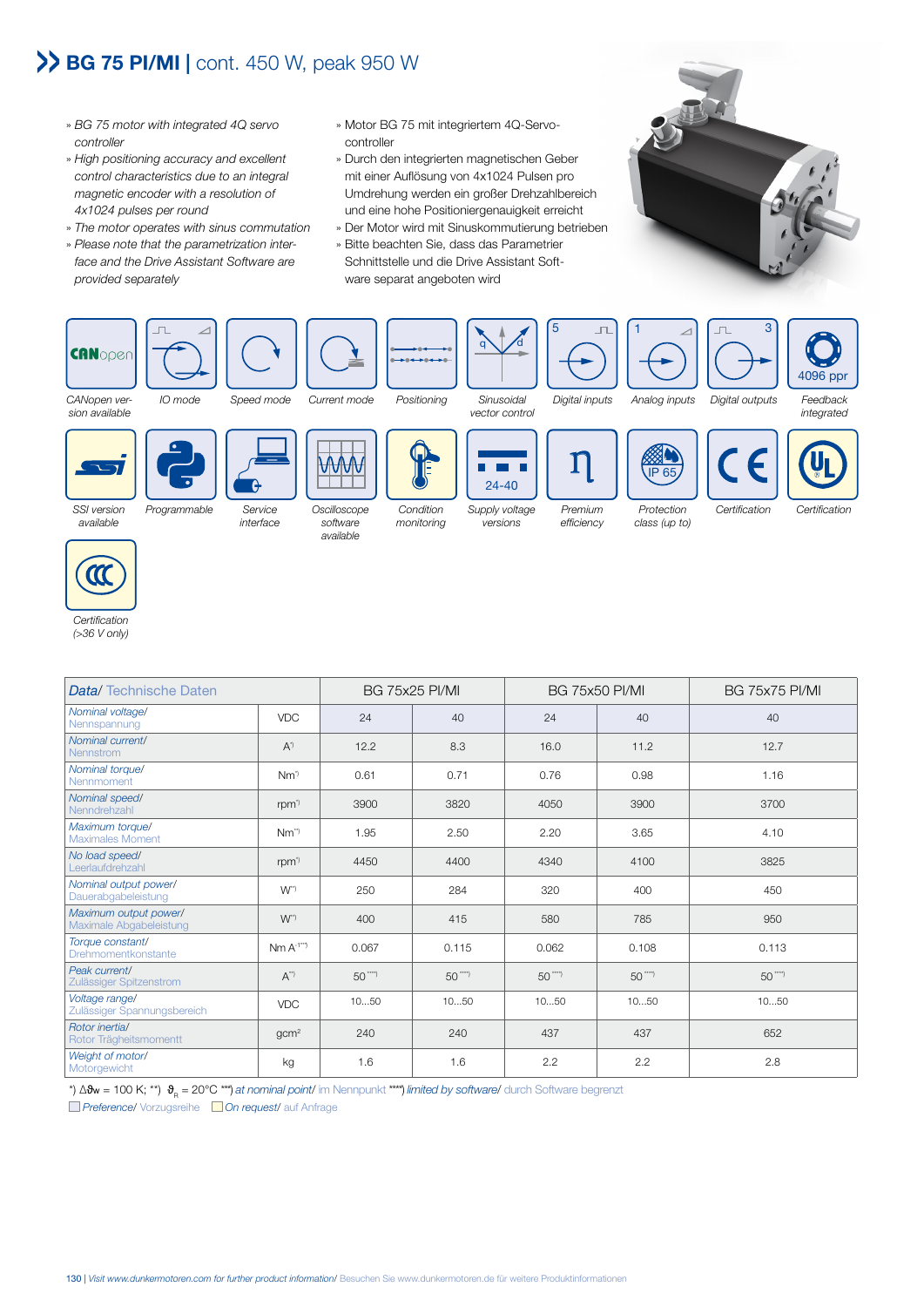## BG 75 PI/MI | cont. 450 W, peak 950 W

- » *BG 75 motor with integrated 4Q servo controller*
- » *High positioning accuracy and excellent control characteristics due to an integral magnetic encoder with a resolution of 4x1024 pulses per round*
- » *The motor operates with sinus commutation*
- » *Please note that the parametrization interface and the Drive Assistant Software are provided separately*
- » Motor BG 75 mit integriertem 4Q-Servocontroller
- » Durch den integrierten magnetischen Geber mit einer Auflösung von 4x1024 Pulsen pro Umdrehung werden ein großer Drehzahlbereich und eine hohe Positioniergenauigkeit erreicht
- » Der Motor wird mit Sinuskommutierung betrieben
- » Bitte beachten Sie, dass das Parametrier Schnittstelle und die Drive Assistant Software separat angeboten wird







*interface*

*software available*





*Premium efficiency*

*class (up to)*



## *Certification*

*(>36 V only)*

| <b>Data/</b> Technische Daten                    |                    | <b>BG 75x25 PI/MI</b> |            | <b>BG 75x50 PI/MI</b> |            | <b>BG 75x75 PI/MI</b> |
|--------------------------------------------------|--------------------|-----------------------|------------|-----------------------|------------|-----------------------|
| Nominal voltage/<br>Nennspannung                 | <b>VDC</b>         | 24                    | 40         | 24                    | 40         | 40                    |
| Nominal current/<br><b>Nennstrom</b>             | $A^{\prime}$       | 12.2                  | 8.3        | 16.0                  | 11.2       | 12.7                  |
| Nominal torque/<br>Nennmoment                    | $Nm^{\prime}$      | 0.61                  | 0.71       | 0.76                  | 0.98       | 1.16                  |
| Nominal speed/<br>Nenndrehzahl                   | rpm <sup>3</sup>   | 3900                  | 3820       | 4050                  | 3900       | 3700                  |
| Maximum torque/<br><b>Maximales Moment</b>       | $Nm^{\gamma}$      | 1.95                  | 2.50       | 2.20                  | 3.65       | 4.10                  |
| No load speed/<br>Leerlaufdrehzahl               | rpm <sup>3</sup>   | 4450                  | 4400       | 4340                  | 4100       | 3825                  |
| Nominal output power/<br>Dauerabgabeleistung     | $W^{\eta}$         | 250                   | 284        | 320                   | 400        | 450                   |
| Maximum output power/<br>Maximale Abgabeleistung | $W^{\gamma}$       | 400                   | 415        | 580                   | 785        | 950                   |
| Torque constant/<br>Drehmomentkonstante          | $Nm A^{-1}}$       | 0.067                 | 0.115      | 0.062                 | 0.108      | 0.113                 |
| Peak current/<br>Zulässiger Spitzenstrom         | $A^{\prime\prime}$ | $50^{***}$            | $50^{***}$ | $50$ ***              | $50^{***}$ | $50^{***}$            |
| Voltage range/<br>Zulässiger Spannungsbereich    | <b>VDC</b>         | 1050                  | 1050       | 1050                  | 1050       | 1050                  |
| Rotor inertial<br>Rotor Trägheitsmomentt         | gcm <sup>2</sup>   | 240                   | 240        | 437                   | 437        | 652                   |
| Weight of motor/<br>Motorgewicht                 | kg                 | 1.6                   | 1.6        | 2.2                   | 2.2        | 2.8                   |

\*) ∆�w = 100 K; \*\*) �<sub>B</sub> = 20°C \*\*\*) *at nominal point/* im Nennpunkt \*\*\*\*\*) *limited by software/* durch Software begrenzt

*Preference*/ Vorzugsreihe *On request*/ auf Anfrage